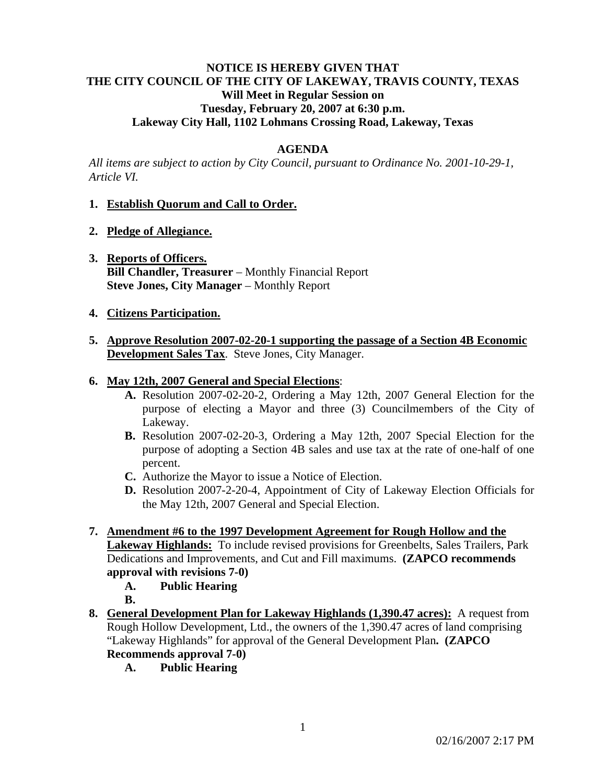# **NOTICE IS HEREBY GIVEN THAT THE CITY COUNCIL OF THE CITY OF LAKEWAY, TRAVIS COUNTY, TEXAS Will Meet in Regular Session on Tuesday, February 20, 2007 at 6:30 p.m. Lakeway City Hall, 1102 Lohmans Crossing Road, Lakeway, Texas**

## **AGENDA**

*All items are subject to action by City Council, pursuant to Ordinance No. 2001-10-29-1, Article VI.* 

### **1. Establish Quorum and Call to Order.**

- **2. Pledge of Allegiance.**
- **3. Reports of Officers. Bill Chandler, Treasurer** – Monthly Financial Report **Steve Jones, City Manager** – Monthly Report

### **4. Citizens Participation.**

**5. Approve Resolution 2007-02-20-1 supporting the passage of a Section 4B Economic Development Sales Tax**. Steve Jones, City Manager.

### **6. May 12th, 2007 General and Special Elections**:

- **A.** Resolution 2007-02-20-2, Ordering a May 12th, 2007 General Election for the purpose of electing a Mayor and three (3) Councilmembers of the City of Lakeway.
- **B.** Resolution 2007-02-20-3, Ordering a May 12th, 2007 Special Election for the purpose of adopting a Section 4B sales and use tax at the rate of one-half of one percent.
- **C.** Authorize the Mayor to issue a Notice of Election.
- **D.** Resolution 2007-2-20-4, Appointment of City of Lakeway Election Officials for the May 12th, 2007 General and Special Election.
- **7. Amendment #6 to the 1997 Development Agreement for Rough Hollow and the Lakeway Highlands:** To include revised provisions for Greenbelts, Sales Trailers, Park Dedications and Improvements, and Cut and Fill maximums. **(ZAPCO recommends approval with revisions 7-0)** 
	- **A. Public Hearing**
	- **B.**
- **8. General Development Plan for Lakeway Highlands (1,390.47 acres):** A request from Rough Hollow Development, Ltd., the owners of the 1,390.47 acres of land comprising "Lakeway Highlands" for approval of the General Development Plan**. (ZAPCO Recommends approval 7-0)** 
	- **A. Public Hearing**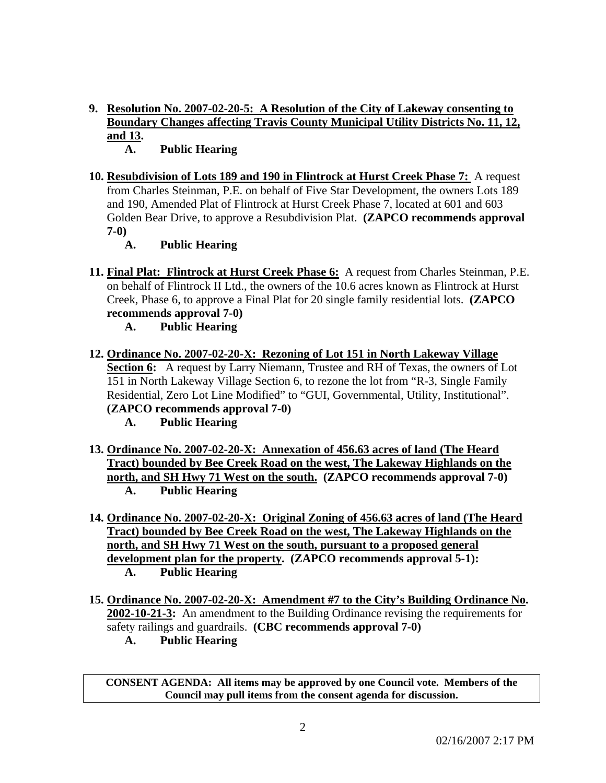- **9. Resolution No. 2007-02-20-5: A Resolution of the City of Lakeway consenting to Boundary Changes affecting Travis County Municipal Utility Districts No. 11, 12, and 13.** 
	- **A. Public Hearing**
- **10. Resubdivision of Lots 189 and 190 in Flintrock at Hurst Creek Phase 7:** A request from Charles Steinman, P.E. on behalf of Five Star Development, the owners Lots 189 and 190, Amended Plat of Flintrock at Hurst Creek Phase 7, located at 601 and 603 Golden Bear Drive, to approve a Resubdivision Plat. **(ZAPCO recommends approval 7-0)** 
	- **A. Public Hearing**
- **11. Final Plat: Flintrock at Hurst Creek Phase 6:** A request from Charles Steinman, P.E. on behalf of Flintrock II Ltd., the owners of the 10.6 acres known as Flintrock at Hurst Creek, Phase 6, to approve a Final Plat for 20 single family residential lots. **(ZAPCO recommends approval 7-0)** 
	- **A. Public Hearing**
- **12. Ordinance No. 2007-02-20-X: Rezoning of Lot 151 in North Lakeway Village Section 6:** A request by Larry Niemann, Trustee and RH of Texas, the owners of Lot 151 in North Lakeway Village Section 6, to rezone the lot from "R-3, Single Family Residential, Zero Lot Line Modified" to "GUI, Governmental, Utility, Institutional". **(ZAPCO recommends approval 7-0)** 
	- **A. Public Hearing**
- **13. Ordinance No. 2007-02-20-X: Annexation of 456.63 acres of land (The Heard Tract) bounded by Bee Creek Road on the west, The Lakeway Highlands on the north, and SH Hwy 71 West on the south. (ZAPCO recommends approval 7-0) A. Public Hearing**
- **14. Ordinance No. 2007-02-20-X: Original Zoning of 456.63 acres of land (The Heard Tract) bounded by Bee Creek Road on the west, The Lakeway Highlands on the north, and SH Hwy 71 West on the south, pursuant to a proposed general development plan for the property. (ZAPCO recommends approval 5-1): A. Public Hearing**
- **15. Ordinance No. 2007-02-20-X: Amendment #7 to the City's Building Ordinance No. 2002-10-21-3:** An amendment to the Building Ordinance revising the requirements for safety railings and guardrails. **(CBC recommends approval 7-0)** 
	- **A. Public Hearing**

**CONSENT AGENDA: All items may be approved by one Council vote. Members of the Council may pull items from the consent agenda for discussion.**